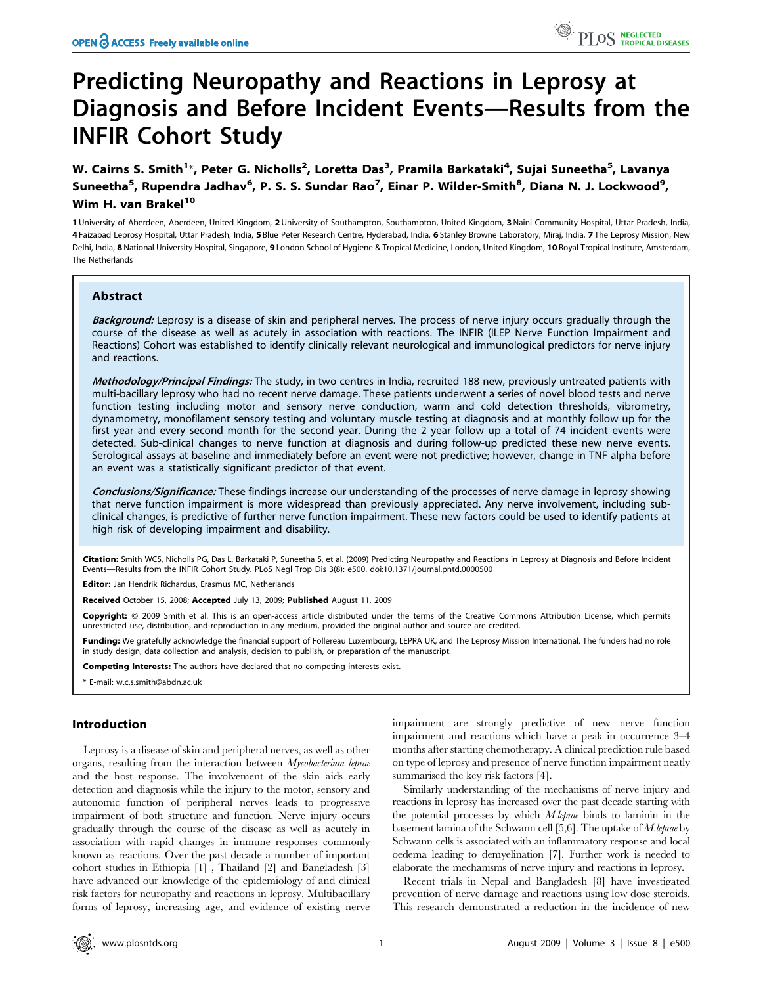# Predicting Neuropathy and Reactions in Leprosy at Diagnosis and Before Incident Events—Results from the INFIR Cohort Study

W. Cairns S. Smith<sup>1</sup>\*, Peter G. Nicholls<sup>2</sup>, Loretta Das<sup>3</sup>, Pramila Barkataki<sup>4</sup>, Sujai Suneetha<sup>5</sup>, Lavanya Suneetha<sup>5</sup>, Rupendra Jadhav<sup>6</sup>, P. S. S. Sundar Rao<sup>7</sup>, Einar P. Wilder-Smith<sup>8</sup>, Diana N. J. Lockwood<sup>9</sup>, Wim H. van Brakel<sup>10</sup>

1 University of Aberdeen, Aberdeen, United Kingdom, 2 University of Southampton, Southampton, United Kingdom, 3 Naini Community Hospital, Uttar Pradesh, India, 4 Faizabad Leprosy Hospital, Uttar Pradesh, India, 5 Blue Peter Research Centre, Hyderabad, India, 6 Stanley Browne Laboratory, Miraj, India, 7 The Leprosy Mission, New Delhi, India, 8National University Hospital, Singapore, 9 London School of Hygiene & Tropical Medicine, London, United Kingdom, 10 Royal Tropical Institute, Amsterdam, The Netherlands

## Abstract

Background: Leprosy is a disease of skin and peripheral nerves. The process of nerve injury occurs gradually through the course of the disease as well as acutely in association with reactions. The INFIR (ILEP Nerve Function Impairment and Reactions) Cohort was established to identify clinically relevant neurological and immunological predictors for nerve injury and reactions.

Methodology/Principal Findings: The study, in two centres in India, recruited 188 new, previously untreated patients with multi-bacillary leprosy who had no recent nerve damage. These patients underwent a series of novel blood tests and nerve function testing including motor and sensory nerve conduction, warm and cold detection thresholds, vibrometry, dynamometry, monofilament sensory testing and voluntary muscle testing at diagnosis and at monthly follow up for the first year and every second month for the second year. During the 2 year follow up a total of 74 incident events were detected. Sub-clinical changes to nerve function at diagnosis and during follow-up predicted these new nerve events. Serological assays at baseline and immediately before an event were not predictive; however, change in TNF alpha before an event was a statistically significant predictor of that event.

Conclusions/Significance: These findings increase our understanding of the processes of nerve damage in leprosy showing that nerve function impairment is more widespread than previously appreciated. Any nerve involvement, including subclinical changes, is predictive of further nerve function impairment. These new factors could be used to identify patients at high risk of developing impairment and disability.

Citation: Smith WCS, Nicholls PG, Das L, Barkataki P, Suneetha S, et al. (2009) Predicting Neuropathy and Reactions in Leprosy at Diagnosis and Before Incident Events—Results from the INFIR Cohort Study. PLoS Negl Trop Dis 3(8): e500. doi:10.1371/journal.pntd.0000500

Editor: Jan Hendrik Richardus, Erasmus MC, Netherlands

Received October 15, 2008; Accepted July 13, 2009; Published August 11, 2009

Copyright: @ 2009 Smith et al. This is an open-access article distributed under the terms of the Creative Commons Attribution License, which permits unrestricted use, distribution, and reproduction in any medium, provided the original author and source are credited.

Funding: We gratefully acknowledge the financial support of Follereau Luxembourg, LEPRA UK, and The Leprosy Mission International. The funders had no role in study design, data collection and analysis, decision to publish, or preparation of the manuscript.

Competing Interests: The authors have declared that no competing interests exist.

\* E-mail: w.c.s.smith@abdn.ac.uk

## Introduction

Leprosy is a disease of skin and peripheral nerves, as well as other organs, resulting from the interaction between Mycobacterium leprae and the host response. The involvement of the skin aids early detection and diagnosis while the injury to the motor, sensory and autonomic function of peripheral nerves leads to progressive impairment of both structure and function. Nerve injury occurs gradually through the course of the disease as well as acutely in association with rapid changes in immune responses commonly known as reactions. Over the past decade a number of important cohort studies in Ethiopia [1] , Thailand [2] and Bangladesh [3] have advanced our knowledge of the epidemiology of and clinical risk factors for neuropathy and reactions in leprosy. Multibacillary forms of leprosy, increasing age, and evidence of existing nerve impairment are strongly predictive of new nerve function impairment and reactions which have a peak in occurrence 3–4 months after starting chemotherapy. A clinical prediction rule based on type of leprosy and presence of nerve function impairment neatly summarised the key risk factors [4].

Similarly understanding of the mechanisms of nerve injury and reactions in leprosy has increased over the past decade starting with the potential processes by which M.leprae binds to laminin in the basement lamina of the Schwann cell [5,6]. The uptake of M.leprae by Schwann cells is associated with an inflammatory response and local oedema leading to demyelination [7]. Further work is needed to elaborate the mechanisms of nerve injury and reactions in leprosy.

Recent trials in Nepal and Bangladesh [8] have investigated prevention of nerve damage and reactions using low dose steroids. This research demonstrated a reduction in the incidence of new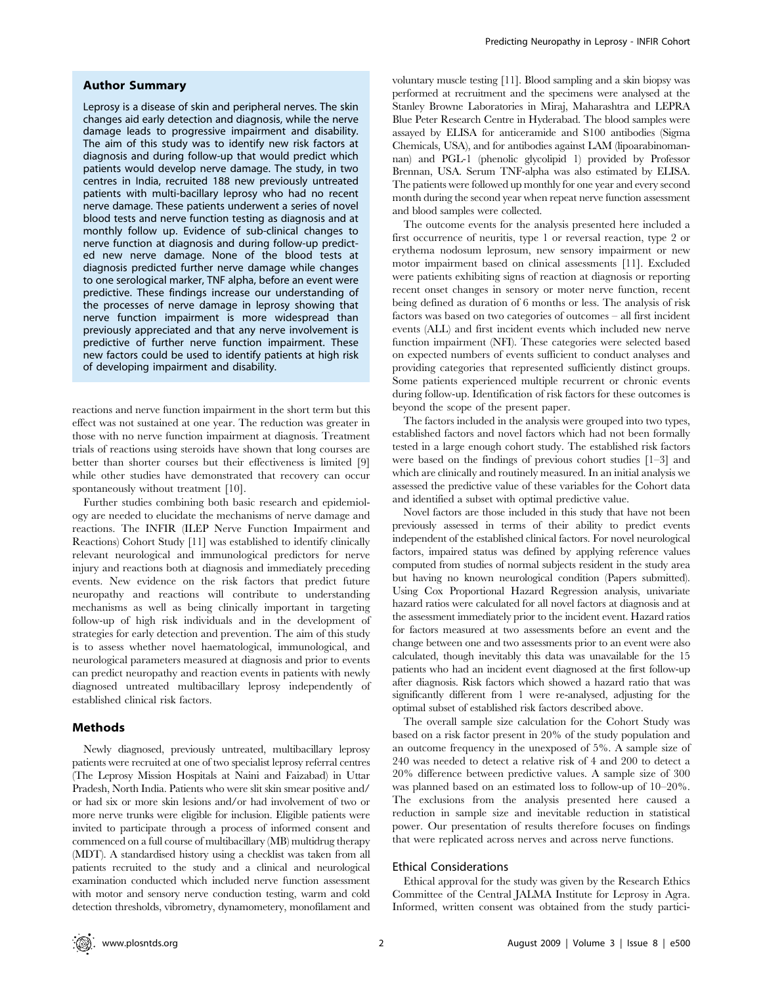#### Author Summary

Leprosy is a disease of skin and peripheral nerves. The skin changes aid early detection and diagnosis, while the nerve damage leads to progressive impairment and disability. The aim of this study was to identify new risk factors at diagnosis and during follow-up that would predict which patients would develop nerve damage. The study, in two centres in India, recruited 188 new previously untreated patients with multi-bacillary leprosy who had no recent nerve damage. These patients underwent a series of novel blood tests and nerve function testing as diagnosis and at monthly follow up. Evidence of sub-clinical changes to nerve function at diagnosis and during follow-up predicted new nerve damage. None of the blood tests at diagnosis predicted further nerve damage while changes to one serological marker, TNF alpha, before an event were predictive. These findings increase our understanding of the processes of nerve damage in leprosy showing that nerve function impairment is more widespread than previously appreciated and that any nerve involvement is predictive of further nerve function impairment. These new factors could be used to identify patients at high risk of developing impairment and disability.

reactions and nerve function impairment in the short term but this effect was not sustained at one year. The reduction was greater in those with no nerve function impairment at diagnosis. Treatment trials of reactions using steroids have shown that long courses are better than shorter courses but their effectiveness is limited [9] while other studies have demonstrated that recovery can occur spontaneously without treatment [10].

Further studies combining both basic research and epidemiology are needed to elucidate the mechanisms of nerve damage and reactions. The INFIR (ILEP Nerve Function Impairment and Reactions) Cohort Study [11] was established to identify clinically relevant neurological and immunological predictors for nerve injury and reactions both at diagnosis and immediately preceding events. New evidence on the risk factors that predict future neuropathy and reactions will contribute to understanding mechanisms as well as being clinically important in targeting follow-up of high risk individuals and in the development of strategies for early detection and prevention. The aim of this study is to assess whether novel haematological, immunological, and neurological parameters measured at diagnosis and prior to events can predict neuropathy and reaction events in patients with newly diagnosed untreated multibacillary leprosy independently of established clinical risk factors.

#### Methods

Newly diagnosed, previously untreated, multibacillary leprosy patients were recruited at one of two specialist leprosy referral centres (The Leprosy Mission Hospitals at Naini and Faizabad) in Uttar Pradesh, North India. Patients who were slit skin smear positive and/ or had six or more skin lesions and/or had involvement of two or more nerve trunks were eligible for inclusion. Eligible patients were invited to participate through a process of informed consent and commenced on a full course of multibacillary (MB) multidrug therapy (MDT). A standardised history using a checklist was taken from all patients recruited to the study and a clinical and neurological examination conducted which included nerve function assessment with motor and sensory nerve conduction testing, warm and cold detection thresholds, vibrometry, dynamometery, monofilament and voluntary muscle testing [11]. Blood sampling and a skin biopsy was performed at recruitment and the specimens were analysed at the Stanley Browne Laboratories in Miraj, Maharashtra and LEPRA Blue Peter Research Centre in Hyderabad. The blood samples were assayed by ELISA for anticeramide and S100 antibodies (Sigma Chemicals, USA), and for antibodies against LAM (lipoarabinomannan) and PGL-1 (phenolic glycolipid 1) provided by Professor Brennan, USA. Serum TNF-alpha was also estimated by ELISA. The patients were followed up monthly for one year and every second month during the second year when repeat nerve function assessment and blood samples were collected.

The outcome events for the analysis presented here included a first occurrence of neuritis, type 1 or reversal reaction, type 2 or erythema nodosum leprosum, new sensory impairment or new motor impairment based on clinical assessments [11]. Excluded were patients exhibiting signs of reaction at diagnosis or reporting recent onset changes in sensory or moter nerve function, recent being defined as duration of 6 months or less. The analysis of risk factors was based on two categories of outcomes – all first incident events (ALL) and first incident events which included new nerve function impairment (NFI). These categories were selected based on expected numbers of events sufficient to conduct analyses and providing categories that represented sufficiently distinct groups. Some patients experienced multiple recurrent or chronic events during follow-up. Identification of risk factors for these outcomes is beyond the scope of the present paper.

The factors included in the analysis were grouped into two types, established factors and novel factors which had not been formally tested in a large enough cohort study. The established risk factors were based on the findings of previous cohort studies [1–3] and which are clinically and routinely measured. In an initial analysis we assessed the predictive value of these variables for the Cohort data and identified a subset with optimal predictive value.

Novel factors are those included in this study that have not been previously assessed in terms of their ability to predict events independent of the established clinical factors. For novel neurological factors, impaired status was defined by applying reference values computed from studies of normal subjects resident in the study area but having no known neurological condition (Papers submitted). Using Cox Proportional Hazard Regression analysis, univariate hazard ratios were calculated for all novel factors at diagnosis and at the assessment immediately prior to the incident event. Hazard ratios for factors measured at two assessments before an event and the change between one and two assessments prior to an event were also calculated, though inevitably this data was unavailable for the 15 patients who had an incident event diagnosed at the first follow-up after diagnosis. Risk factors which showed a hazard ratio that was significantly different from 1 were re-analysed, adjusting for the optimal subset of established risk factors described above.

The overall sample size calculation for the Cohort Study was based on a risk factor present in 20% of the study population and an outcome frequency in the unexposed of 5%. A sample size of 240 was needed to detect a relative risk of 4 and 200 to detect a 20% difference between predictive values. A sample size of 300 was planned based on an estimated loss to follow-up of 10–20%. The exclusions from the analysis presented here caused a reduction in sample size and inevitable reduction in statistical power. Our presentation of results therefore focuses on findings that were replicated across nerves and across nerve functions.

#### Ethical Considerations

Ethical approval for the study was given by the Research Ethics Committee of the Central JALMA Institute for Leprosy in Agra. Informed, written consent was obtained from the study partici-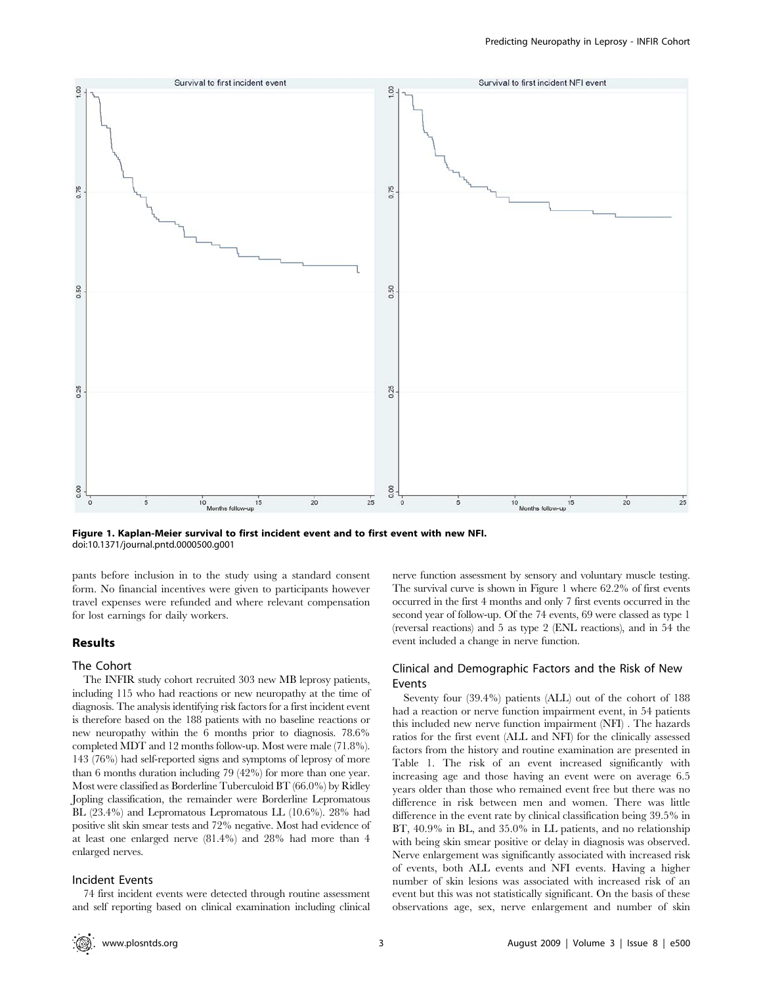

Figure 1. Kaplan-Meier survival to first incident event and to first event with new NFI. doi:10.1371/journal.pntd.0000500.g001

pants before inclusion in to the study using a standard consent form. No financial incentives were given to participants however travel expenses were refunded and where relevant compensation for lost earnings for daily workers.

#### Results

#### The Cohort

The INFIR study cohort recruited 303 new MB leprosy patients, including 115 who had reactions or new neuropathy at the time of diagnosis. The analysis identifying risk factors for a first incident event is therefore based on the 188 patients with no baseline reactions or new neuropathy within the 6 months prior to diagnosis. 78.6% completed MDT and 12 months follow-up. Most were male (71.8%). 143 (76%) had self-reported signs and symptoms of leprosy of more than 6 months duration including 79 (42%) for more than one year. Most were classified as Borderline Tuberculoid BT (66.0%) by Ridley Jopling classification, the remainder were Borderline Lepromatous BL (23.4%) and Lepromatous Lepromatous LL (10.6%). 28% had positive slit skin smear tests and 72% negative. Most had evidence of at least one enlarged nerve (81.4%) and 28% had more than 4 enlarged nerves.

#### Incident Events

74 first incident events were detected through routine assessment and self reporting based on clinical examination including clinical nerve function assessment by sensory and voluntary muscle testing. The survival curve is shown in Figure 1 where 62.2% of first events occurred in the first 4 months and only 7 first events occurred in the second year of follow-up. Of the 74 events, 69 were classed as type 1 (reversal reactions) and 5 as type 2 (ENL reactions), and in 54 the event included a change in nerve function.

### Clinical and Demographic Factors and the Risk of New Events

Seventy four (39.4%) patients (ALL) out of the cohort of 188 had a reaction or nerve function impairment event, in 54 patients this included new nerve function impairment (NFI) . The hazards ratios for the first event (ALL and NFI) for the clinically assessed factors from the history and routine examination are presented in Table 1. The risk of an event increased significantly with increasing age and those having an event were on average 6.5 years older than those who remained event free but there was no difference in risk between men and women. There was little difference in the event rate by clinical classification being 39.5% in BT, 40.9% in BL, and 35.0% in LL patients, and no relationship with being skin smear positive or delay in diagnosis was observed. Nerve enlargement was significantly associated with increased risk of events, both ALL events and NFI events. Having a higher number of skin lesions was associated with increased risk of an event but this was not statistically significant. On the basis of these observations age, sex, nerve enlargement and number of skin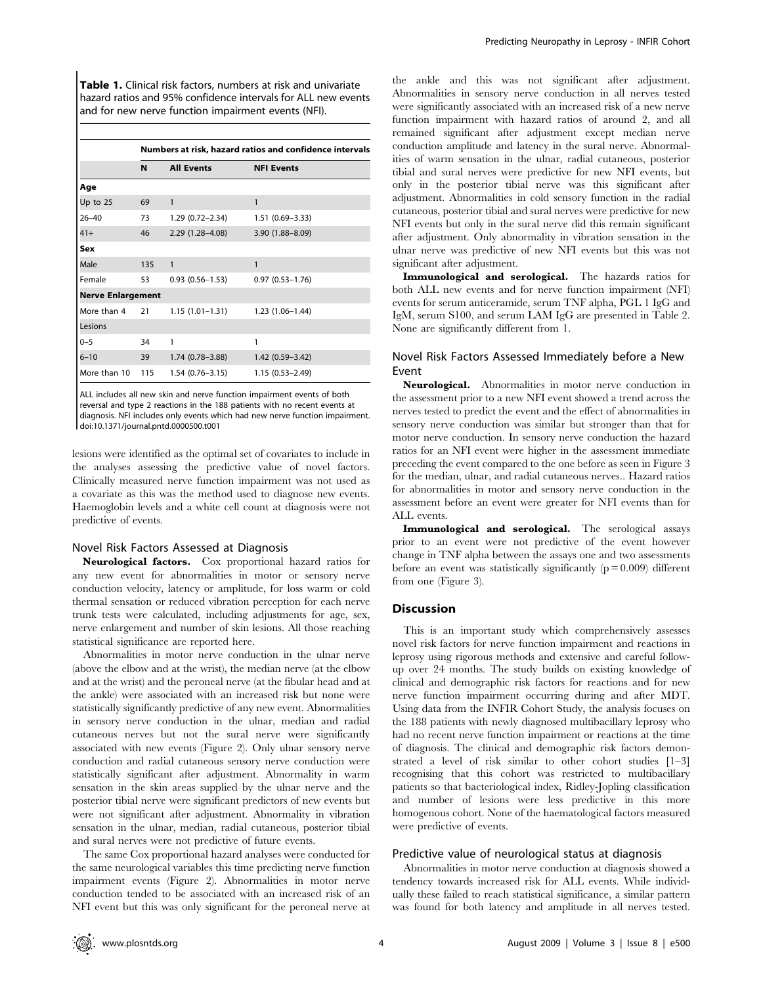Table 1. Clinical risk factors, numbers at risk and univariate hazard ratios and 95% confidence intervals for ALL new events and for new nerve function impairment events (NFI).

|                          | Numbers at risk, hazard ratios and confidence intervals |                     |                     |  |  |
|--------------------------|---------------------------------------------------------|---------------------|---------------------|--|--|
|                          | N                                                       | <b>All Events</b>   | <b>NFI Events</b>   |  |  |
| Age                      |                                                         |                     |                     |  |  |
| Up to $25$               | 69                                                      | $\mathbf{1}$        | 1                   |  |  |
| $26 - 40$                | 73                                                      | $1.29(0.72 - 2.34)$ | $1.51(0.69 - 3.33)$ |  |  |
| $41+$                    | 46                                                      | $2.29(1.28 - 4.08)$ | 3.90 (1.88-8.09)    |  |  |
| Sex                      |                                                         |                     |                     |  |  |
| Male                     | 135                                                     | $\mathbf{1}$        | 1                   |  |  |
| Female                   | 53                                                      | $0.93(0.56 - 1.53)$ | $0.97(0.53 - 1.76)$ |  |  |
| <b>Nerve Enlargement</b> |                                                         |                     |                     |  |  |
| More than 4              | 21                                                      | $1.15(1.01-1.31)$   | $1.23(1.06-1.44)$   |  |  |
| Lesions                  |                                                         |                     |                     |  |  |
| $0 - 5$                  | 34                                                      | 1                   | 1                   |  |  |
| $6 - 10$                 | 39                                                      | $1.74(0.78 - 3.88)$ | $1.42(0.59 - 3.42)$ |  |  |
| More than 10             | 115                                                     | $1.54(0.76 - 3.15)$ | $1.15(0.53 - 2.49)$ |  |  |

ALL includes all new skin and nerve function impairment events of both reversal and type 2 reactions in the 188 patients with no recent events at diagnosis. NFI includes only events which had new nerve function impairment. doi:10.1371/journal.pntd.0000500.t001

lesions were identified as the optimal set of covariates to include in the analyses assessing the predictive value of novel factors. Clinically measured nerve function impairment was not used as a covariate as this was the method used to diagnose new events. Haemoglobin levels and a white cell count at diagnosis were not predictive of events.

#### Novel Risk Factors Assessed at Diagnosis

Neurological factors. Cox proportional hazard ratios for any new event for abnormalities in motor or sensory nerve conduction velocity, latency or amplitude, for loss warm or cold thermal sensation or reduced vibration perception for each nerve trunk tests were calculated, including adjustments for age, sex, nerve enlargement and number of skin lesions. All those reaching statistical significance are reported here.

Abnormalities in motor nerve conduction in the ulnar nerve (above the elbow and at the wrist), the median nerve (at the elbow and at the wrist) and the peroneal nerve (at the fibular head and at the ankle) were associated with an increased risk but none were statistically significantly predictive of any new event. Abnormalities in sensory nerve conduction in the ulnar, median and radial cutaneous nerves but not the sural nerve were significantly associated with new events (Figure 2). Only ulnar sensory nerve conduction and radial cutaneous sensory nerve conduction were statistically significant after adjustment. Abnormality in warm sensation in the skin areas supplied by the ulnar nerve and the posterior tibial nerve were significant predictors of new events but were not significant after adjustment. Abnormality in vibration sensation in the ulnar, median, radial cutaneous, posterior tibial and sural nerves were not predictive of future events.

The same Cox proportional hazard analyses were conducted for the same neurological variables this time predicting nerve function impairment events (Figure 2). Abnormalities in motor nerve conduction tended to be associated with an increased risk of an NFI event but this was only significant for the peroneal nerve at

the ankle and this was not significant after adjustment. Abnormalities in sensory nerve conduction in all nerves tested were significantly associated with an increased risk of a new nerve function impairment with hazard ratios of around 2, and all remained significant after adjustment except median nerve conduction amplitude and latency in the sural nerve. Abnormalities of warm sensation in the ulnar, radial cutaneous, posterior tibial and sural nerves were predictive for new NFI events, but only in the posterior tibial nerve was this significant after adjustment. Abnormalities in cold sensory function in the radial cutaneous, posterior tibial and sural nerves were predictive for new NFI events but only in the sural nerve did this remain significant after adjustment. Only abnormality in vibration sensation in the ulnar nerve was predictive of new NFI events but this was not significant after adjustment.

Immunological and serological. The hazards ratios for both ALL new events and for nerve function impairment (NFI) events for serum anticeramide, serum TNF alpha, PGL 1 IgG and IgM, serum S100, and serum LAM IgG are presented in Table 2. None are significantly different from 1.

#### Novel Risk Factors Assessed Immediately before a New Event

Neurological. Abnormalities in motor nerve conduction in the assessment prior to a new NFI event showed a trend across the nerves tested to predict the event and the effect of abnormalities in sensory nerve conduction was similar but stronger than that for motor nerve conduction. In sensory nerve conduction the hazard ratios for an NFI event were higher in the assessment immediate preceding the event compared to the one before as seen in Figure 3 for the median, ulnar, and radial cutaneous nerves.. Hazard ratios for abnormalities in motor and sensory nerve conduction in the assessment before an event were greater for NFI events than for ALL events.

Immunological and serological. The serological assays prior to an event were not predictive of the event however change in TNF alpha between the assays one and two assessments before an event was statistically significantly  $(p = 0.009)$  different from one (Figure 3).

#### **Discussion**

This is an important study which comprehensively assesses novel risk factors for nerve function impairment and reactions in leprosy using rigorous methods and extensive and careful followup over 24 months. The study builds on existing knowledge of clinical and demographic risk factors for reactions and for new nerve function impairment occurring during and after MDT. Using data from the INFIR Cohort Study, the analysis focuses on the 188 patients with newly diagnosed multibacillary leprosy who had no recent nerve function impairment or reactions at the time of diagnosis. The clinical and demographic risk factors demonstrated a level of risk similar to other cohort studies [1–3] recognising that this cohort was restricted to multibacillary patients so that bacteriological index, Ridley-Jopling classification and number of lesions were less predictive in this more homogenous cohort. None of the haematological factors measured were predictive of events.

#### Predictive value of neurological status at diagnosis

Abnormalities in motor nerve conduction at diagnosis showed a tendency towards increased risk for ALL events. While individually these failed to reach statistical significance, a similar pattern was found for both latency and amplitude in all nerves tested.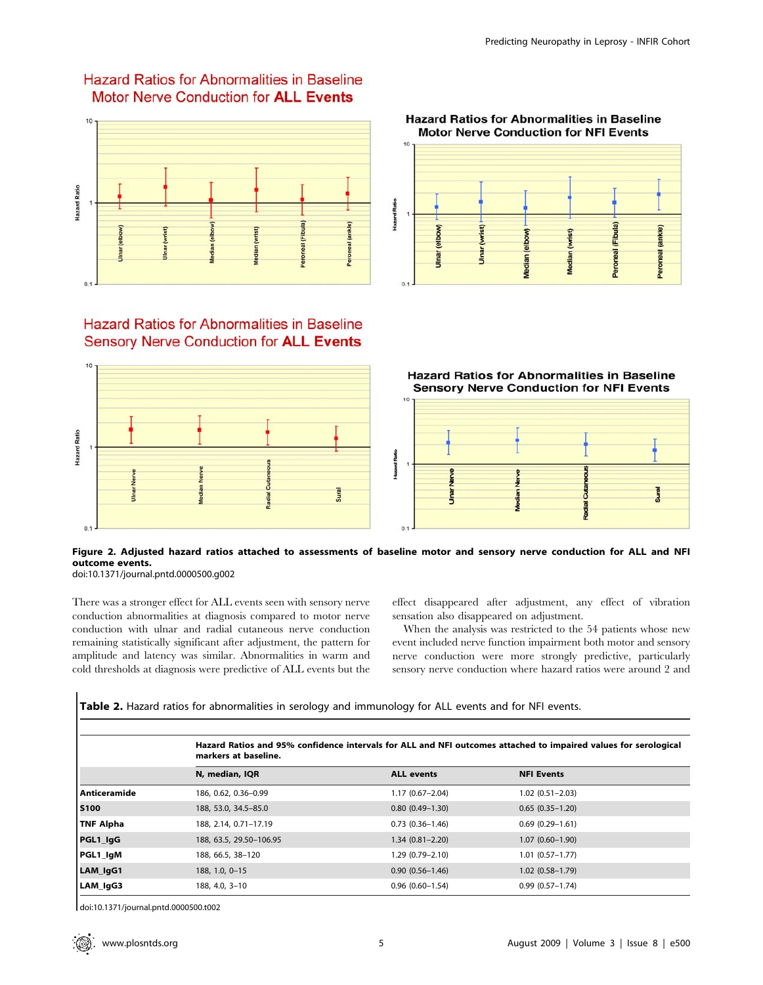# **Hazard Ratios for Abnormalities in Baseline** Motor Nerve Conduction for **ALL Events**



# **Hazard Ratios for Abnormalities in Baseline Sensory Nerve Conduction for ALL Events**



**Hazard Ratios for Abnormalities in Baseline Motor Nerve Conduction for NFI Events** 



| 10 | <b>Sensory Nerve Conduction for NFI Events</b> |  |
|----|------------------------------------------------|--|
|    |                                                |  |
|    |                                                |  |

**Hazard Ratios for Abnormalities in Baseline** 

# Figure 2. Adjusted hazard ratios attached to assessments of baseline motor and sensory nerve conduction for ALL and NFI outcome events.

doi:10.1371/journal.pntd.0000500.g002

There was a stronger effect for ALL events seen with sensory nerve conduction abnormalities at diagnosis compared to motor nerve conduction with ulnar and radial cutaneous nerve conduction remaining statistically significant after adjustment, the pattern for amplitude and latency was similar. Abnormalities in warm and cold thresholds at diagnosis were predictive of ALL events but the effect disappeared after adjustment, any effect of vibration sensation also disappeared on adjustment.

When the analysis was restricted to the 54 patients whose new event included nerve function impairment both motor and sensory nerve conduction were more strongly predictive, particularly sensory nerve conduction where hazard ratios were around 2 and

Table 2. Hazard ratios for abnormalities in serology and immunology for ALL events and for NFI events.

|                | markers at baseline.    | Hazard Ratios and 95% confidence intervals for ALL and NFI outcomes attached to impaired values for serological |                     |  |  |  |
|----------------|-------------------------|-----------------------------------------------------------------------------------------------------------------|---------------------|--|--|--|
|                | N, median, IQR          | <b>ALL events</b>                                                                                               | <b>NFI Events</b>   |  |  |  |
| l Anticeramide | 186, 0.62, 0.36-0.99    | $1.17(0.67 - 2.04)$                                                                                             | $1.02(0.51 - 2.03)$ |  |  |  |
| <b>S100</b>    | 188, 53.0, 34.5-85.0    | $0.80(0.49 - 1.30)$                                                                                             | $0.65(0.35-1.20)$   |  |  |  |
| TNF Alpha      | 188, 2.14, 0.71-17.19   | $0.73(0.36 - 1.46)$                                                                                             | $0.69(0.29 - 1.61)$ |  |  |  |
| PGL1_lgG       | 188, 63.5, 29.50-106.95 | $1.34(0.81 - 2.20)$                                                                                             | $1.07(0.60 - 1.90)$ |  |  |  |
| PGL1 lgM       | 188, 66.5, 38-120       | 1.29 (0.79–2.10)                                                                                                | $1.01(0.57 - 1.77)$ |  |  |  |
| LAM_IgG1       | 188, 1.0, 0-15          | $0.90(0.56 - 1.46)$                                                                                             | $1.02(0.58 - 1.79)$ |  |  |  |
| LAM_IgG3       | 188, 4.0, 3-10          | $0.96(0.60 - 1.54)$                                                                                             | $0.99(0.57 - 1.74)$ |  |  |  |

doi:10.1371/journal.pntd.0000500.t002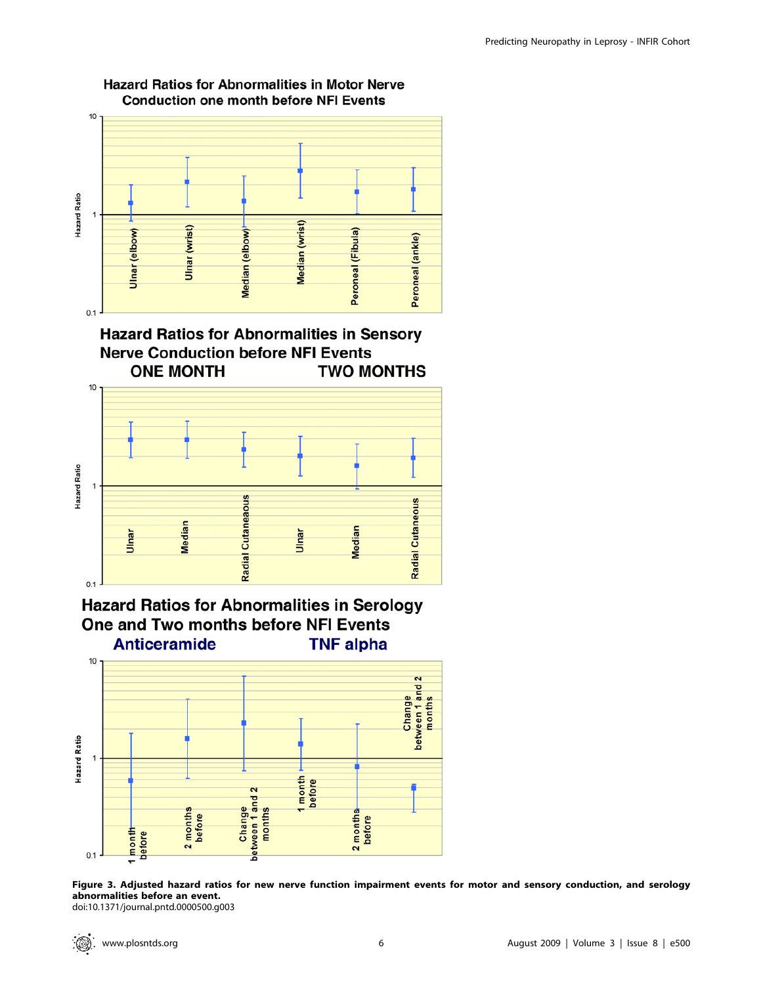

# **Hazard Ratios for Abnormalities in Serology** One and Two months before NFI Events **TNF alpha Anticeramide**



Figure 3. Adjusted hazard ratios for new nerve function impairment events for motor and sensory conduction, and serology abnormalities before an event.

doi:10.1371/journal.pntd.0000500.g003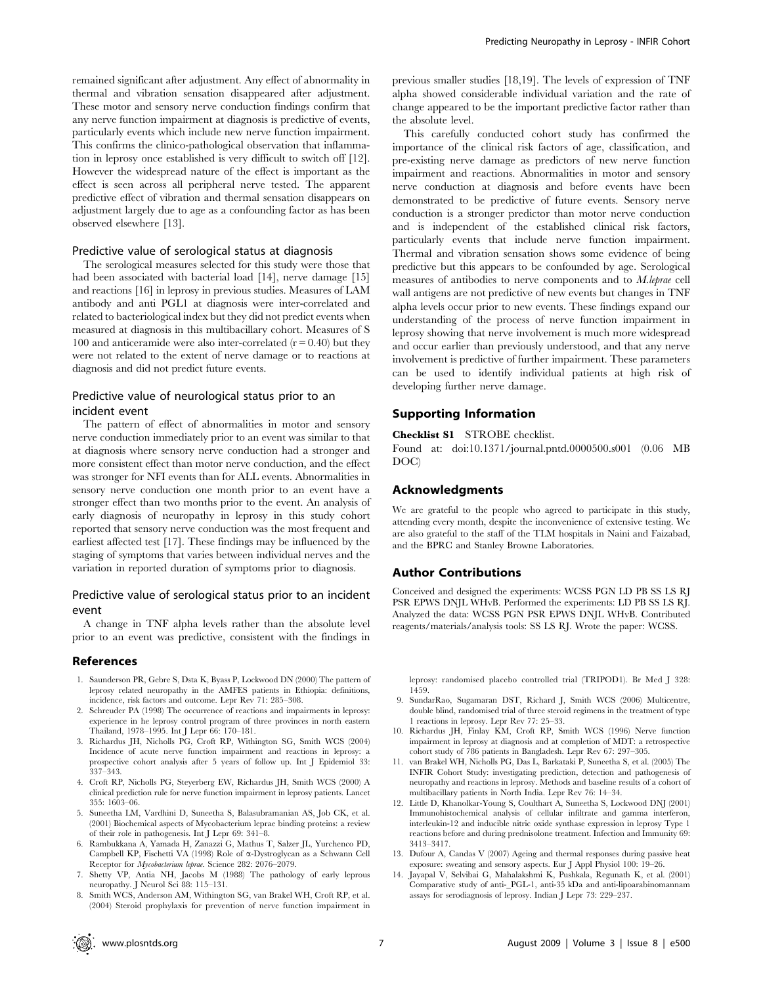remained significant after adjustment. Any effect of abnormality in thermal and vibration sensation disappeared after adjustment. These motor and sensory nerve conduction findings confirm that any nerve function impairment at diagnosis is predictive of events, particularly events which include new nerve function impairment. This confirms the clinico-pathological observation that inflammation in leprosy once established is very difficult to switch off [12]. However the widespread nature of the effect is important as the effect is seen across all peripheral nerve tested. The apparent predictive effect of vibration and thermal sensation disappears on adjustment largely due to age as a confounding factor as has been observed elsewhere [13].

#### Predictive value of serological status at diagnosis

The serological measures selected for this study were those that had been associated with bacterial load [14], nerve damage [15] and reactions [16] in leprosy in previous studies. Measures of LAM antibody and anti PGL1 at diagnosis were inter-correlated and related to bacteriological index but they did not predict events when measured at diagnosis in this multibacillary cohort. Measures of S 100 and anticeramide were also inter-correlated  $(r = 0.40)$  but they were not related to the extent of nerve damage or to reactions at diagnosis and did not predict future events.

#### Predictive value of neurological status prior to an incident event

The pattern of effect of abnormalities in motor and sensory nerve conduction immediately prior to an event was similar to that at diagnosis where sensory nerve conduction had a stronger and more consistent effect than motor nerve conduction, and the effect was stronger for NFI events than for ALL events. Abnormalities in sensory nerve conduction one month prior to an event have a stronger effect than two months prior to the event. An analysis of early diagnosis of neuropathy in leprosy in this study cohort reported that sensory nerve conduction was the most frequent and earliest affected test [17]. These findings may be influenced by the staging of symptoms that varies between individual nerves and the variation in reported duration of symptoms prior to diagnosis.

#### Predictive value of serological status prior to an incident event

A change in TNF alpha levels rather than the absolute level prior to an event was predictive, consistent with the findings in

#### References

- 1. Saunderson PR, Gebre S, Dsta K, Byass P, Lockwood DN (2000) The pattern of leprosy related neuropathy in the AMFES patients in Ethiopia: definitions, incidence, risk factors and outcome. Lepr Rev 71: 285–308.
- 2. Schreuder PA (1998) The occurrence of reactions and impairments in leprosy: experience in he leprosy control program of three provinces in north eastern Thailand, 1978–1995. Int J Lepr 66: 170–181.
- 3. Richardus JH, Nicholls PG, Croft RP, Withington SG, Smith WCS (2004) Incidence of acute nerve function impairment and reactions in leprosy: a prospective cohort analysis after 5 years of follow up. Int J Epidemiol 33: 337–343.
- 4. Croft RP, Nicholls PG, Steyerberg EW, Richardus JH, Smith WCS (2000) A clinical prediction rule for nerve function impairment in leprosy patients. Lancet 355: 1603–06.
- 5. Suneetha LM, Vardhini D, Suneetha S, Balasubramanian AS, Job CK, et al. (2001) Biochemical aspects of Mycobacterium leprae binding proteins: a review of their role in pathogenesis. Int J Lepr 69: 341–8.
- 6. Rambukkana A, Yamada H, Zanazzi G, Mathus T, Salzer JL, Yurchenco PD, Campbell KP, Fischetti VA (1998) Role of *a*-Dystroglycan as a Schwann Cell Receptor for Mycobacterium leprae. Science 282: 2076–2079.
- 7. Shetty VP, Antia NH, Jacobs M (1988) The pathology of early leprous neuropathy. J Neurol Sci 88: 115–131.
- 8. Smith WCS, Anderson AM, Withington SG, van Brakel WH, Croft RP, et al. (2004) Steroid prophylaxis for prevention of nerve function impairment in

previous smaller studies [18,19]. The levels of expression of TNF alpha showed considerable individual variation and the rate of change appeared to be the important predictive factor rather than the absolute level.

This carefully conducted cohort study has confirmed the importance of the clinical risk factors of age, classification, and pre-existing nerve damage as predictors of new nerve function impairment and reactions. Abnormalities in motor and sensory nerve conduction at diagnosis and before events have been demonstrated to be predictive of future events. Sensory nerve conduction is a stronger predictor than motor nerve conduction and is independent of the established clinical risk factors, particularly events that include nerve function impairment. Thermal and vibration sensation shows some evidence of being predictive but this appears to be confounded by age. Serological measures of antibodies to nerve components and to M.leprae cell wall antigens are not predictive of new events but changes in TNF alpha levels occur prior to new events. These findings expand our understanding of the process of nerve function impairment in leprosy showing that nerve involvement is much more widespread and occur earlier than previously understood, and that any nerve involvement is predictive of further impairment. These parameters can be used to identify individual patients at high risk of developing further nerve damage.

#### Supporting Information

Checklist S1 STROBE checklist.

Found at: doi:10.1371/journal.pntd.0000500.s001 (0.06 MB DOC)

#### Acknowledgments

We are grateful to the people who agreed to participate in this study, attending every month, despite the inconvenience of extensive testing. We are also grateful to the staff of the TLM hospitals in Naini and Faizabad, and the BPRC and Stanley Browne Laboratories.

#### Author Contributions

Conceived and designed the experiments: WCSS PGN LD PB SS LS RJ PSR EPWS DNJL WHvB. Performed the experiments: LD PB SS LS RJ. Analyzed the data: WCSS PGN PSR EPWS DNJL WHvB. Contributed reagents/materials/analysis tools: SS LS RJ. Wrote the paper: WCSS.

leprosy: randomised placebo controlled trial (TRIPOD1). Br Med J 328: 1459.

- 9. SundarRao, Sugamaran DST, Richard J, Smith WCS (2006) Multicentre, double blind, randomised trial of three steroid regimens in the treatment of type 1 reactions in leprosy. Lepr Rev 77: 25–33.
- 10. Richardus JH, Finlay KM, Croft RP, Smith WCS (1996) Nerve function impairment in leprosy at diagnosis and at completion of MDT: a retrospective cohort study of 786 patients in Bangladesh. Lepr Rev 67: 297–305.
- 11. van Brakel WH, Nicholls PG, Das L, Barkataki P, Suneetha S, et al. (2005) The INFIR Cohort Study: investigating prediction, detection and pathogenesis of neuropathy and reactions in leprosy. Methods and baseline results of a cohort of multibacillary patients in North India. Lepr Rev 76: 14–34.
- 12. Little D, Khanolkar-Young S, Coulthart A, Suneetha S, Lockwood DNJ (2001) Immunohistochemical analysis of cellular infiltrate and gamma interferon, interleukin-12 and inducible nitric oxide synthase expression in leprosy Type 1 reactions before and during prednisolone treatment. Infection and Immunity 69: 3413–3417.
- 13. Dufour A, Candas V (2007) Ageing and thermal responses during passive heat exposure: sweating and sensory aspects. Eur J Appl Physiol 100: 19–26.
- 14. Jayapal V, Selvibai G, Mahalakshmi K, Pushkala, Regunath K, et al. (2001) Comparative study of anti-\_PGL-1, anti-35 kDa and anti-lipoarabinomannam assays for serodiagnosis of leprosy. Indian J Lepr 73: 229–237.